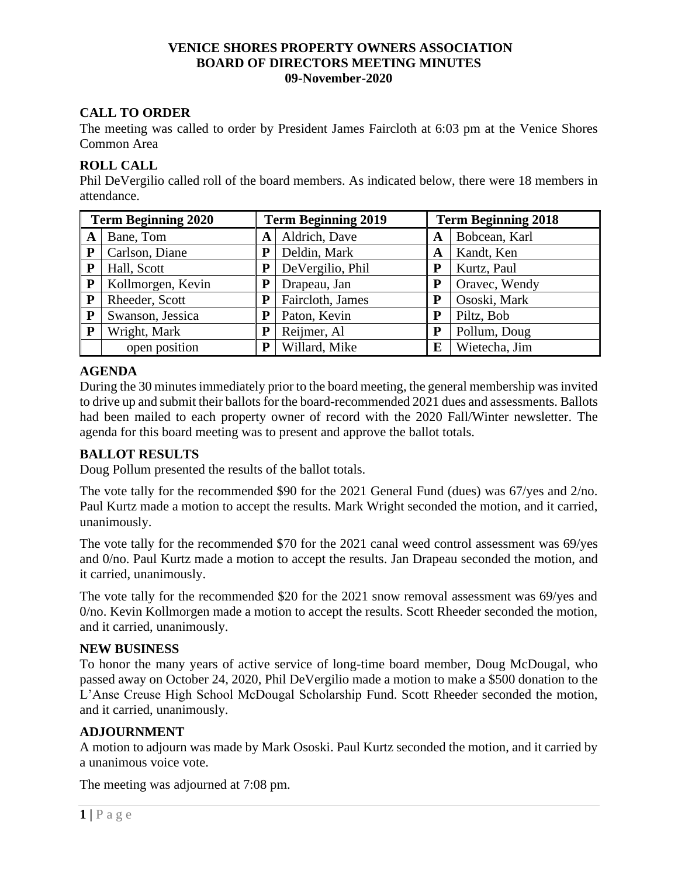#### **VENICE SHORES PROPERTY OWNERS ASSOCIATION BOARD OF DIRECTORS MEETING MINUTES 09-November-2020**

# **CALL TO ORDER**

The meeting was called to order by President James Faircloth at 6:03 pm at the Venice Shores Common Area

### **ROLL CALL**

Phil DeVergilio called roll of the board members. As indicated below, there were 18 members in attendance.

| <b>Term Beginning 2020</b> |                   | <b>Term Beginning 2019</b> |                  | <b>Term Beginning 2018</b> |               |
|----------------------------|-------------------|----------------------------|------------------|----------------------------|---------------|
| A                          | Bane, Tom         | A                          | Aldrich, Dave    | A                          | Bobcean, Karl |
| P                          | Carlson, Diane    | P                          | Deldin, Mark     | A                          | Kandt, Ken    |
| P                          | Hall, Scott       | P                          | DeVergilio, Phil | P                          | Kurtz, Paul   |
| ${\bf P}$                  | Kollmorgen, Kevin |                            | Drapeau, Jan     | P                          | Oravec, Wendy |
| P                          | Rheeder, Scott    | P                          | Faircloth, James | P                          | Ososki, Mark  |
| ${\bf P}$                  | Swanson, Jessica  | P                          | Paton, Kevin     | P                          | Piltz, Bob    |
| ${\bf P}$                  | Wright, Mark      | P                          | Reijmer, Al      | P                          | Pollum, Doug  |
|                            | open position     | P                          | Willard, Mike    | E                          | Wietecha, Jim |

# **AGENDA**

During the 30 minutes immediately prior to the board meeting, the general membership was invited to drive up and submit their ballots for the board-recommended 2021 dues and assessments. Ballots had been mailed to each property owner of record with the 2020 Fall/Winter newsletter. The agenda for this board meeting was to present and approve the ballot totals.

# **BALLOT RESULTS**

Doug Pollum presented the results of the ballot totals.

The vote tally for the recommended \$90 for the 2021 General Fund (dues) was 67/yes and 2/no. Paul Kurtz made a motion to accept the results. Mark Wright seconded the motion, and it carried, unanimously.

The vote tally for the recommended \$70 for the 2021 canal weed control assessment was 69/yes and 0/no. Paul Kurtz made a motion to accept the results. Jan Drapeau seconded the motion, and it carried, unanimously.

The vote tally for the recommended \$20 for the 2021 snow removal assessment was 69/yes and 0/no. Kevin Kollmorgen made a motion to accept the results. Scott Rheeder seconded the motion, and it carried, unanimously.

#### **NEW BUSINESS**

To honor the many years of active service of long-time board member, Doug McDougal, who passed away on October 24, 2020, Phil DeVergilio made a motion to make a \$500 donation to the L'Anse Creuse High School McDougal Scholarship Fund. Scott Rheeder seconded the motion, and it carried, unanimously.

# **ADJOURNMENT**

A motion to adjourn was made by Mark Ososki. Paul Kurtz seconded the motion, and it carried by a unanimous voice vote.

The meeting was adjourned at 7:08 pm.